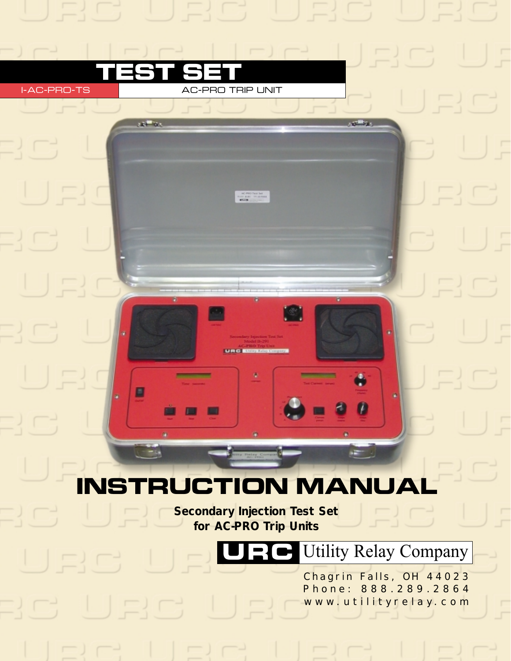

**URCE** 

\_\_\_

■

n.

**test set**

i-ac-pro-ts ac-pro trip unit

**ANTINA** 

*Secondary Injection Test Set for AC-PRO Trip Units*

URC**C** Utility Relay Company

m

i.

and the

Chagrin Falls, OH 44023 Phone: 888.289.2864 www.utilityrelay.com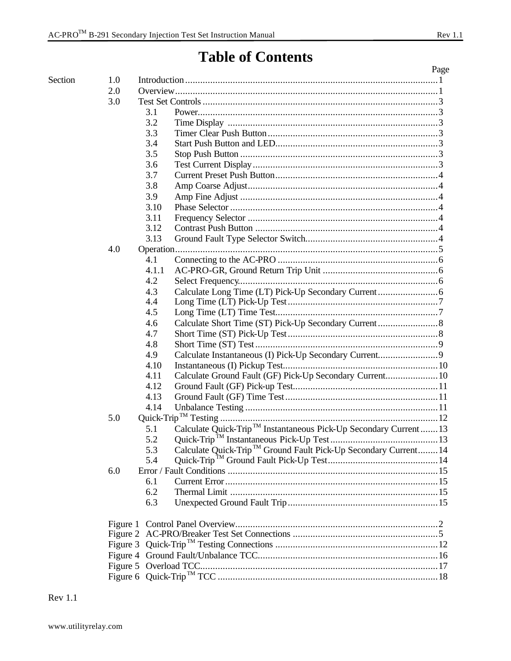$O<sub>vari</sub> in$ 

Page

# **Table of Contents**

| 2.0 |       |                                                                               |  |
|-----|-------|-------------------------------------------------------------------------------|--|
| 3.0 |       |                                                                               |  |
|     | 3.1   |                                                                               |  |
|     | 3.2   |                                                                               |  |
|     | 3.3   |                                                                               |  |
|     | 3.4   |                                                                               |  |
|     | 3.5   |                                                                               |  |
|     | 3.6   |                                                                               |  |
|     | 3.7   |                                                                               |  |
|     | 3.8   |                                                                               |  |
|     | 3.9   |                                                                               |  |
|     | 3.10  |                                                                               |  |
|     | 3.11  |                                                                               |  |
|     | 3.12  |                                                                               |  |
|     | 3.13  |                                                                               |  |
| 4.0 |       |                                                                               |  |
|     | 4.1   |                                                                               |  |
|     | 4.1.1 |                                                                               |  |
|     | 4.2   |                                                                               |  |
|     | 4.3   |                                                                               |  |
|     | 4.4   |                                                                               |  |
|     | 4.5   |                                                                               |  |
|     | 4.6   |                                                                               |  |
|     | 4.7   |                                                                               |  |
|     | 4.8   |                                                                               |  |
|     | 4.9   |                                                                               |  |
|     | 4.10  |                                                                               |  |
|     | 4.11  | Calculate Ground Fault (GF) Pick-Up Secondary Current 10                      |  |
|     | 4.12  |                                                                               |  |
|     | 4.13  |                                                                               |  |
|     | 4.14  |                                                                               |  |
| 5.0 |       |                                                                               |  |
|     | 5.1   | Calculate Quick-Trip <sup>™</sup> Instantaneous Pick-Up Secondary Current  13 |  |
|     | 5.2   |                                                                               |  |
|     | 5.3   | Calculate Quick-Trip <sup>™</sup> Ground Fault Pick-Up Secondary Current 14   |  |
|     | 54    |                                                                               |  |
| 6.0 |       |                                                                               |  |
|     | 6.1   |                                                                               |  |
|     | 6.2   |                                                                               |  |
|     | 6.3   |                                                                               |  |

**Rev** 1.1

Section

1.0

 $20$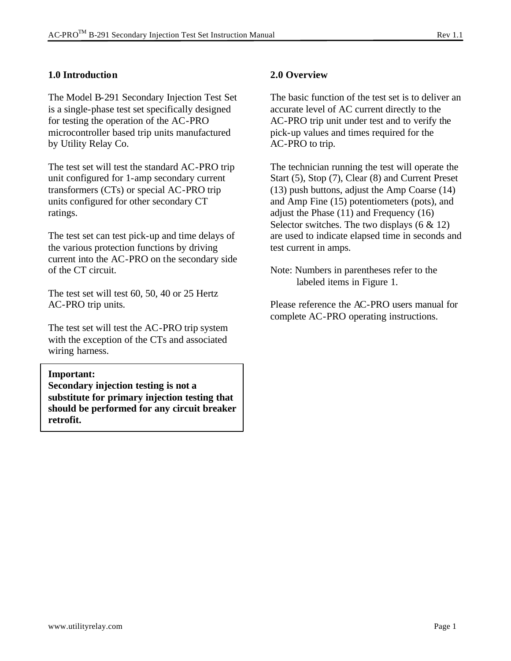## **1.0 Introduction**

The Model B-291 Secondary Injection Test Set is a single-phase test set specifically designed for testing the operation of the AC-PRO microcontroller based trip units manufactured by Utility Relay Co.

The test set will test the standard AC-PRO trip unit configured for 1-amp secondary current transformers (CTs) or special AC-PRO trip units configured for other secondary CT ratings.

The test set can test pick-up and time delays of the various protection functions by driving current into the AC-PRO on the secondary side of the CT circuit.

The test set will test 60, 50, 40 or 25 Hertz AC-PRO trip units.

The test set will test the AC-PRO trip system with the exception of the CTs and associated wiring harness.

#### **Important:**

**Secondary injection testing is not a substitute for primary injection testing that should be performed for any circuit breaker retrofit.**

## **2.0 Overview**

The basic function of the test set is to deliver an accurate level of AC current directly to the AC-PRO trip unit under test and to verify the pick-up values and times required for the AC-PRO to trip.

The technician running the test will operate the Start (5), Stop (7), Clear (8) and Current Preset (13) push buttons, adjust the Amp Coarse (14) and Amp Fine (15) potentiometers (pots), and adjust the Phase (11) and Frequency (16) Selector switches. The two displays  $(6 \& 12)$ are used to indicate elapsed time in seconds and test current in amps.

Note: Numbers in parentheses refer to the labeled items in Figure 1.

Please reference the AC-PRO users manual for complete AC-PRO operating instructions.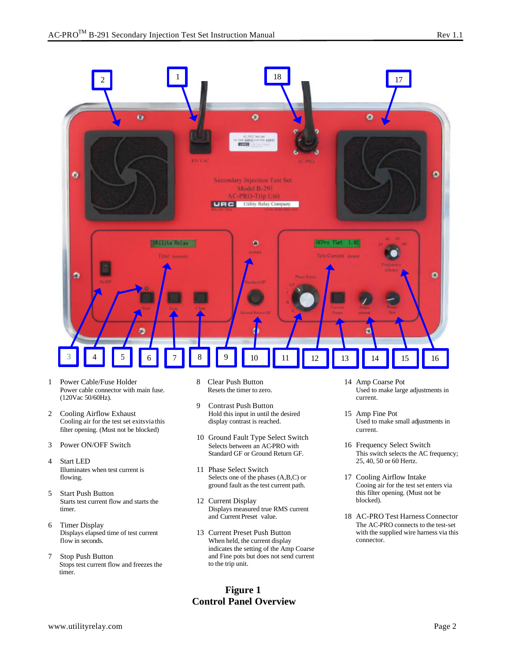

- 1 Power Cable/Fuse Holder Power cable connector with main fuse. (120Vac 50/60Hz).
- 2 Cooling Airflow Exhaust Cooling air for the test set exits via this filter opening. (Must not be blocked)
- 3 Power ON/OFF Switch
- 4 Start LED Illuminates when test current is flowing.
- 5 Start Push Button Starts test current flow and starts the timer.
- 6 Timer Display Displays elapsed time of test current flow in seconds.
- 7 Stop Push Button Stops test current flow and freezes the timer.
- 8 Clear Push Button Resets the timer to zero.
- 9 Contrast Push Button Hold this input in until the desired display contrast is reached.
- 10 Ground Fault Type Select Switch Selects between an AC-PRO with Standard GF or Ground Return GF.
- 11 Phase Select Switch Selects one of the phases (A,B,C) or ground fault as the test current path.
- 12 Current Display Displays measured true RMS current and Current Preset value.
- 13 Current Preset Push Button When held, the current display indicates the setting of the Amp Coarse and Fine pots but does not send current to the trip unit.

## **Figure 1 Control Panel Overview**

- 14 Amp Coarse Pot Used to make large adjustments in current.
- 15 Amp Fine Pot Used to make small adjustments in current.
- 16 Frequency Select Switch This switch selects the AC frequency; 25, 40, 50 or 60 Hertz.
- 17 Cooling Airflow Intake Cooing air for the test set enters via this filter opening. (Must not be blocked).
- 18 AC-PRO Test Harness Connector The AC-PRO connects to the test-set with the supplied wire harness via this connector.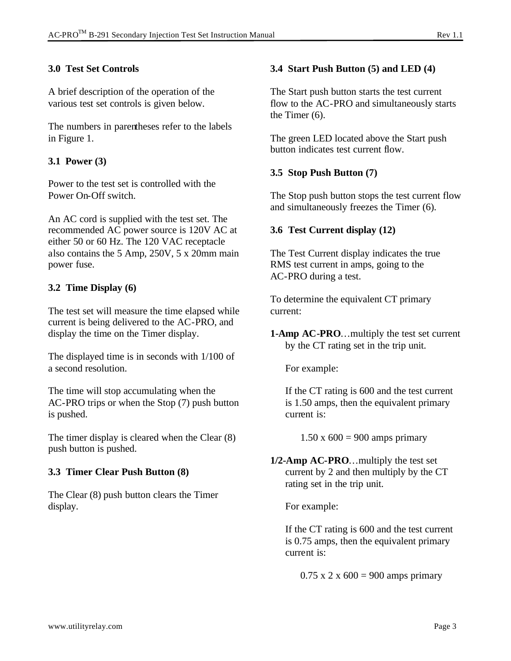## **3.0 Test Set Controls**

A brief description of the operation of the various test set controls is given below.

The numbers in parentheses refer to the labels in Figure 1.

## **3.1 Power (3)**

Power to the test set is controlled with the Power On-Off switch.

An AC cord is supplied with the test set. The recommended AC power source is 120V AC at either 50 or 60 Hz. The 120 VAC receptacle also contains the 5 Amp, 250V, 5 x 20mm main power fuse.

## **3.2 Time Display (6)**

The test set will measure the time elapsed while current is being delivered to the AC-PRO, and display the time on the Timer display.

The displayed time is in seconds with 1/100 of a second resolution.

The time will stop accumulating when the AC-PRO trips or when the Stop (7) push button is pushed.

The timer display is cleared when the Clear (8) push button is pushed.

## **3.3 Timer Clear Push Button (8)**

The Clear (8) push button clears the Timer display.

## **3.4 Start Push Button (5) and LED (4)**

The Start push button starts the test current flow to the AC-PRO and simultaneously starts the Timer (6).

The green LED located above the Start push button indicates test current flow.

## **3.5 Stop Push Button (7)**

The Stop push button stops the test current flow and simultaneously freezes the Timer (6).

## **3.6 Test Current display (12)**

The Test Current display indicates the true RMS test current in amps, going to the AC-PRO during a test.

To determine the equivalent CT primary current:

**1-Amp AC-PRO**…multiply the test set current by the CT rating set in the trip unit.

For example:

If the CT rating is 600 and the test current is 1.50 amps, then the equivalent primary current is:

 $1.50 \times 600 = 900$  amps primary

**1/2-Amp AC-PRO**…multiply the test set current by 2 and then multiply by the CT rating set in the trip unit.

For example:

If the CT rating is 600 and the test current is 0.75 amps, then the equivalent primary current is:

 $0.75 \times 2 \times 600 = 900$  amps primary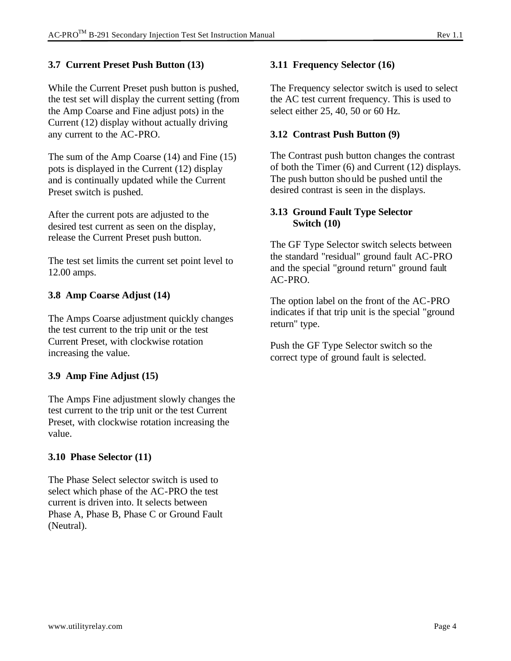## **3.7 Current Preset Push Button (13)**

While the Current Preset push button is pushed, the test set will display the current setting (from the Amp Coarse and Fine adjust pots) in the Current (12) display without actually driving any current to the AC-PRO.

The sum of the Amp Coarse (14) and Fine (15) pots is displayed in the Current (12) display and is continually updated while the Current Preset switch is pushed.

After the current pots are adjusted to the desired test current as seen on the display, release the Current Preset push button.

The test set limits the current set point level to 12.00 amps.

## **3.8 Amp Coarse Adjust (14)**

The Amps Coarse adjustment quickly changes the test current to the trip unit or the test Current Preset, with clockwise rotation increasing the value.

## **3.9 Amp Fine Adjust (15)**

The Amps Fine adjustment slowly changes the test current to the trip unit or the test Current Preset, with clockwise rotation increasing the value.

## **3.10 Phase Selector (11)**

The Phase Select selector switch is used to select which phase of the AC-PRO the test current is driven into. It selects between Phase A, Phase B, Phase C or Ground Fault (Neutral).

#### **3.11 Frequency Selector (16)**

The Frequency selector switch is used to select the AC test current frequency. This is used to select either 25, 40, 50 or 60 Hz.

#### **3.12 Contrast Push Button (9)**

The Contrast push button changes the contrast of both the Timer (6) and Current (12) displays. The push button should be pushed until the desired contrast is seen in the displays.

#### **3.13 Ground Fault Type Selector Switch (10)**

The GF Type Selector switch selects between the standard "residual" ground fault AC-PRO and the special "ground return" ground fault AC-PRO.

The option label on the front of the AC-PRO indicates if that trip unit is the special "ground return" type.

Push the GF Type Selector switch so the correct type of ground fault is selected.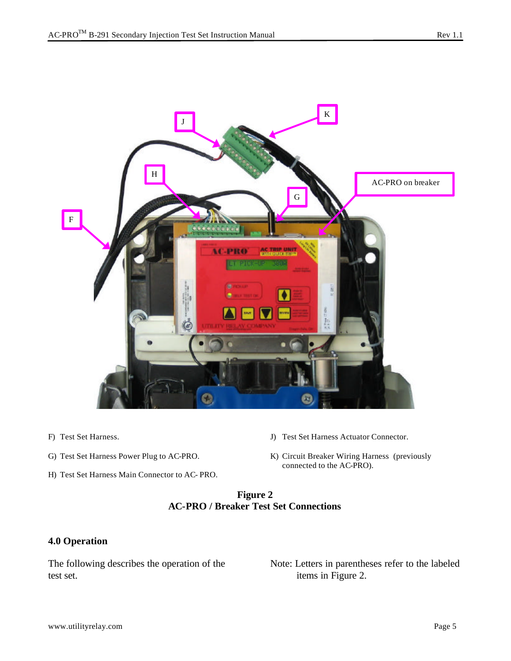

- F) Test Set Harness.
- G) Test Set Harness Power Plug to AC-PRO.
- H) Test Set Harness Main Connector to AC- PRO.
- J) Test Set Harness Actuator Connector.
- K) Circuit Breaker Wiring Harness (previously connected to the AC-PRO).

#### **Figure 2 AC-PRO / Breaker Test Set Connections**

#### **4.0 Operation**

The following describes the operation of the test set.

Note: Letters in parentheses refer to the labeled items in Figure 2.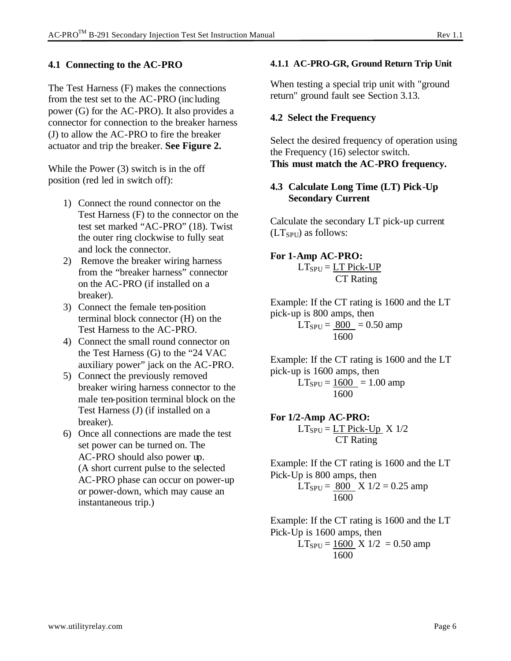## **4.1 Connecting to the AC-PRO**

The Test Harness (F) makes the connections from the test set to the AC-PRO (including power (G) for the AC-PRO). It also provides a connector for connection to the breaker harness (J) to allow the AC-PRO to fire the breaker actuator and trip the breaker. **See Figure 2.**

While the Power (3) switch is in the off position (red led in switch off):

- 1) Connect the round connector on the Test Harness (F) to the connector on the test set marked "AC-PRO" (18). Twist the outer ring clockwise to fully seat and lock the connector.
- 2) Remove the breaker wiring harness from the "breaker harness" connector on the AC-PRO (if installed on a breaker).
- 3) Connect the female ten-position terminal block connector (H) on the Test Harness to the AC-PRO.
- 4) Connect the small round connector on the Test Harness (G) to the "24 VAC auxiliary power" jack on the AC-PRO.
- 5) Connect the previously removed breaker wiring harness connector to the male ten-position terminal block on the Test Harness (J) (if installed on a breaker).
- 6) Once all connections are made the test set power can be turned on. The AC-PRO should also power up. (A short current pulse to the selected AC-PRO phase can occur on power-up or power-down, which may cause an instantaneous trip.)

## **4.1.1 AC-PRO-GR, Ground Return Trip Unit**

When testing a special trip unit with "ground" return" ground fault see Section 3.13.

# **4.2 Select the Frequency**

Select the desired frequency of operation using the Frequency (16) selector switch. **This must match the AC-PRO frequency.**

## **4.3 Calculate Long Time (LT) Pick-Up Secondary Current**

Calculate the secondary LT pick-up current  $(LT<sub>SPU</sub>)$  as follows:

# **For 1-Amp AC-PRO:**

 $LT_{SPU} = LT$  Pick-UP CT Rating

Example: If the CT rating is 1600 and the LT pick-up is 800 amps, then  $LT_{SPU} = 800 = 0.50$  amp 1600

Example: If the CT rating is 1600 and the LT pick-up is 1600 amps, then  $LT_{SPU} = 1600 = 1.00$  amp

1600

#### **For 1/2-Amp AC-PRO:**  $LT_{SPU} = LT$  Pick-Up  $X$  1/2 CT Rating

Example: If the CT rating is 1600 and the LT Pick-Up is 800 amps, then  $LT_{SPU} = 800 \text{ X } 1/2 = 0.25 \text{ amp}$ 1600

Example: If the CT rating is 1600 and the LT Pick-Up is 1600 amps, then  $LT_{SPU} = 1600$  X 1/2 = 0.50 amp 1600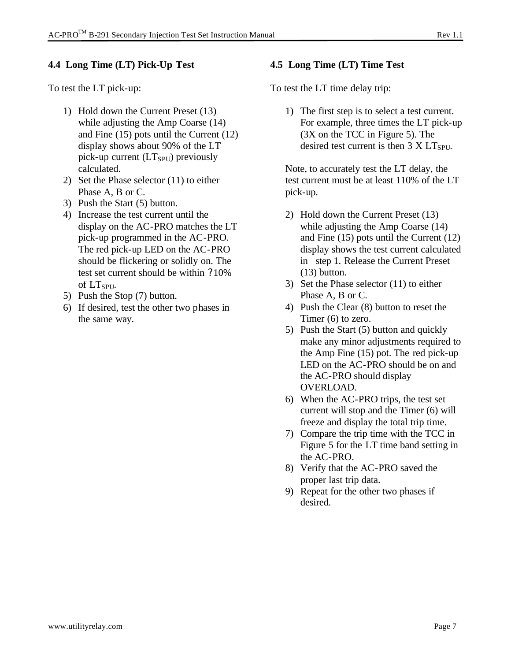## **4.4 Long Time (LT) Pick-Up Test**

To test the LT pick-up:

- 1) Hold down the Current Preset (13) while adjusting the Amp Coarse (14) and Fine (15) pots until the Current (12) display shows about 90% of the LT pick-up current  $(LT_{SPU})$  previously calculated.
- 2) Set the Phase selector (11) to either Phase A, B or C.
- 3) Push the Start (5) button.
- 4) Increase the test current until the display on the AC-PRO matches the LT pick-up programmed in the AC-PRO. The red pick-up LED on the AC-PRO should be flickering or solidly on. The test set current should be within ?10% of LT<sub>SPU</sub>.
- 5) Push the Stop (7) button.
- 6) If desired, test the other two phases in the same way.

## **4.5 Long Time (LT) Time Test**

To test the LT time delay trip:

1) The first step is to select a test current. For example, three times the LT pick-up (3X on the TCC in Figure 5). The desired test current is then  $3 \text{ X } LT_{SPU}$ .

Note, to accurately test the LT delay, the test current must be at least 110% of the LT pick-up.

- 2) Hold down the Current Preset (13) while adjusting the Amp Coarse (14) and Fine (15) pots until the Current (12) display shows the test current calculated in step 1. Release the Current Preset (13) button.
- 3) Set the Phase selector (11) to either Phase A, B or C.
- 4) Push the Clear (8) button to reset the Timer (6) to zero.
- 5) Push the Start (5) button and quickly make any minor adjustments required to the Amp Fine (15) pot. The red pick-up LED on the AC-PRO should be on and the AC-PRO should display OVERLOAD.
- 6) When the AC-PRO trips, the test set current will stop and the Timer (6) will freeze and display the total trip time.
- 7) Compare the trip time with the TCC in Figure 5 for the LT time band setting in the AC-PRO.
- 8) Verify that the AC-PRO saved the proper last trip data.
- 9) Repeat for the other two phases if desired.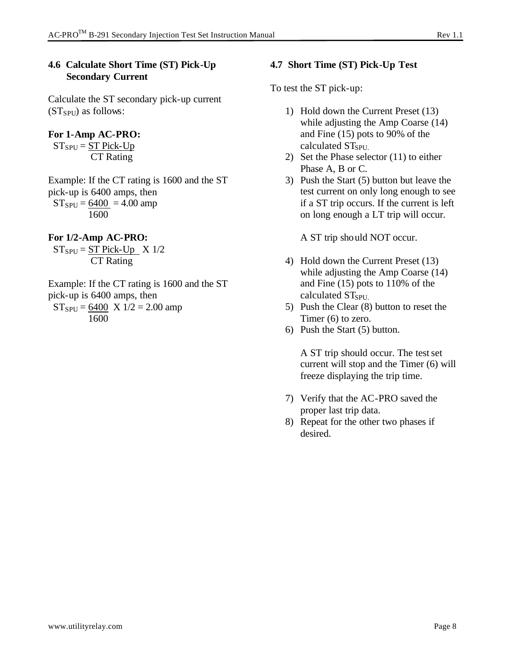## **4.6 Calculate Short Time (ST) Pick-Up Secondary Current**

Calculate the ST secondary pick-up current  $(ST<sub>SPU</sub>)$  as follows:

## **For 1-Amp AC-PRO:**

 $ST_{SPU} = ST$  Pick-Up CT Rating

Example: If the CT rating is 1600 and the ST pick-up is 6400 amps, then  $ST_{SPU} = 6400 = 4.00$  amp 1600

## **For 1/2-Amp AC-PRO:**

 $ST_{SPU} = ST$  Pick-Up  $X 1/2$ CT Rating

Example: If the CT rating is 1600 and the ST pick-up is 6400 amps, then  $ST_{SPU} = 6400 \text{ X } 1/2 = 2.00 \text{ amp}$ 1600

#### **4.7 Short Time (ST) Pick-Up Test**

To test the ST pick-up:

- 1) Hold down the Current Preset (13) while adjusting the Amp Coarse (14) and Fine (15) pots to 90% of the calculated ST<sub>SPU</sub>
- 2) Set the Phase selector (11) to either Phase A, B or C.
- 3) Push the Start (5) button but leave the test current on only long enough to see if a ST trip occurs. If the current is left on long enough a LT trip will occur.

A ST trip should NOT occur.

- 4) Hold down the Current Preset (13) while adjusting the Amp Coarse (14) and Fine (15) pots to 110% of the calculated ST<sub>SPU</sub>
- 5) Push the Clear (8) button to reset the Timer (6) to zero.
- 6) Push the Start (5) button.

A ST trip should occur. The test set current will stop and the Timer (6) will freeze displaying the trip time.

- 7) Verify that the AC-PRO saved the proper last trip data.
- 8) Repeat for the other two phases if desired.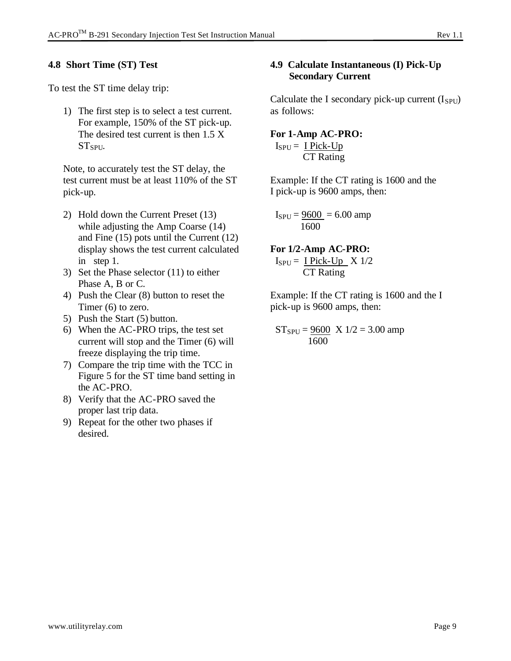## **4.8 Short Time (ST) Test**

To test the ST time delay trip:

1) The first step is to select a test current. For example, 150% of the ST pick-up. The desired test current is then 1.5 X ST<sub>SPU</sub>.

Note, to accurately test the ST delay, the test current must be at least 110% of the ST pick-up.

- 2) Hold down the Current Preset (13) while adjusting the Amp Coarse (14) and Fine (15) pots until the Current (12) display shows the test current calculated in step 1.
- 3) Set the Phase selector (11) to either Phase A, B or C.
- 4) Push the Clear (8) button to reset the Timer (6) to zero.
- 5) Push the Start (5) button.
- 6) When the AC-PRO trips, the test set current will stop and the Timer (6) will freeze displaying the trip time.
- 7) Compare the trip time with the TCC in Figure 5 for the ST time band setting in the AC-PRO.
- 8) Verify that the AC-PRO saved the proper last trip data.
- 9) Repeat for the other two phases if desired.

## **4.9 Calculate Instantaneous (I) Pick-Up Secondary Current**

Calculate the I secondary pick-up current  $(I_{SPU})$ as follows:

#### **For 1-Amp AC-PRO:**

 $I_{SPU} = I$  Pick-Up CT Rating

Example: If the CT rating is 1600 and the I pick-up is 9600 amps, then:

 $I_{SPU} = 9600 = 6.00$  amp 1600

**For 1/2-Amp AC-PRO:**  $I_{SPU} = I$  Pick-Up  $X 1/2$ 

CT Rating

Example: If the CT rating is 1600 and the I pick-up is 9600 amps, then:

 $ST_{SPU} = 9600 \times 1/2 = 3.00$  amp 1600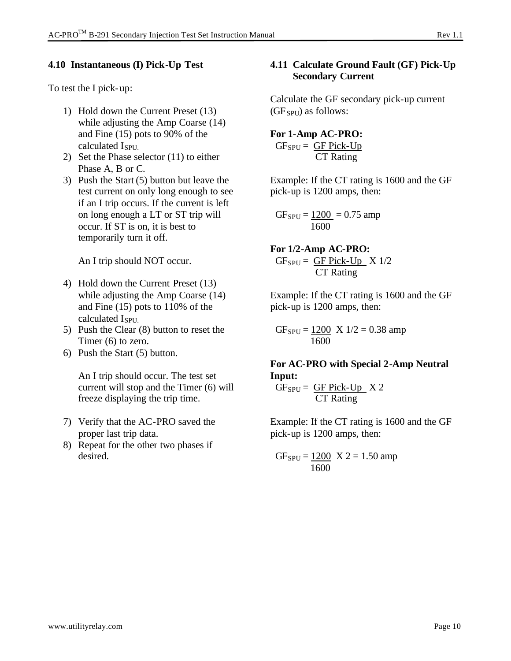## **4.10 Instantaneous (I) Pick-Up Test**

To test the I pick-up:

- 1) Hold down the Current Preset (13) while adjusting the Amp Coarse (14) and Fine (15) pots to 90% of the calculated  $I_{\text{SPIL}}$
- 2) Set the Phase selector (11) to either Phase A, B or C.
- 3) Push the Start (5) button but leave the test current on only long enough to see if an I trip occurs. If the current is left on long enough a LT or ST trip will occur. If ST is on, it is best to temporarily turn it off.

An I trip should NOT occur.

- 4) Hold down the Current Preset (13) while adjusting the Amp Coarse (14) and Fine (15) pots to 110% of the calculated I<sub>SPU</sub>
- 5) Push the Clear (8) button to reset the Timer (6) to zero.
- 6) Push the Start (5) button.

An I trip should occur. The test set current will stop and the Timer (6) will freeze displaying the trip time.

- 7) Verify that the AC-PRO saved the proper last trip data.
- 8) Repeat for the other two phases if desired.

## **4.11 Calculate Ground Fault (GF) Pick-Up Secondary Current**

Calculate the GF secondary pick-up current  $(GF<sub>SPU</sub>)$  as follows:

#### **For 1-Amp AC-PRO:**

 $GF_{SPU} = GF Pick-Up$ CT Rating

Example: If the CT rating is 1600 and the GF pick-up is 1200 amps, then:

 $GF_{SPU} = 1200 = 0.75$  amp 1600

**For 1/2-Amp AC-PRO:**  $GF_{SPU} = GF Pick-Up \times 1/2$ CT Rating

Example: If the CT rating is 1600 and the GF pick-up is 1200 amps, then:

 $GF_{SPU} = 1200 \times 1/2 = 0.38$  amp 1600

**For AC-PRO with Special 2-Amp Neutral Input:**

 $GF_{SPU} = GF Pick-Up$   $X 2$ CT Rating

Example: If the CT rating is 1600 and the GF pick-up is 1200 amps, then:

 $GF_{SPU} = 1200 \text{ X } 2 = 1.50 \text{ amp}$ 1600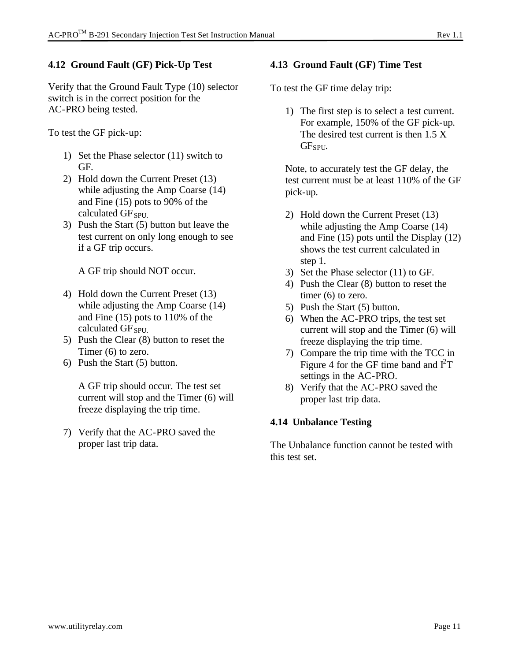## **4.12 Ground Fault (GF) Pick-Up Test**

Verify that the Ground Fault Type (10) selector switch is in the correct position for the AC-PRO being tested.

To test the GF pick-up:

- 1) Set the Phase selector (11) switch to GF.
- 2) Hold down the Current Preset (13) while adjusting the Amp Coarse (14) and Fine (15) pots to 90% of the calculated  $GF_{SPUL}$
- 3) Push the Start (5) button but leave the test current on only long enough to see if a GF trip occurs.

A GF trip should NOT occur.

- 4) Hold down the Current Preset (13) while adjusting the Amp Coarse (14) and Fine (15) pots to 110% of the calculated GF<sub>SPU</sub>
- 5) Push the Clear (8) button to reset the Timer (6) to zero.
- 6) Push the Start (5) button.

A GF trip should occur. The test set current will stop and the Timer (6) will freeze displaying the trip time.

7) Verify that the AC-PRO saved the proper last trip data.

## **4.13 Ground Fault (GF) Time Test**

To test the GF time delay trip:

1) The first step is to select a test current. For example, 150% of the GF pick-up. The desired test current is then 1.5 X GF<sub>SPU</sub>.

Note, to accurately test the GF delay, the test current must be at least 110% of the GF pick-up.

- 2) Hold down the Current Preset (13) while adjusting the Amp Coarse (14) and Fine (15) pots until the Display (12) shows the test current calculated in step 1.
- 3) Set the Phase selector (11) to GF.
- 4) Push the Clear (8) button to reset the timer (6) to zero.
- 5) Push the Start (5) button.
- 6) When the AC-PRO trips, the test set current will stop and the Timer (6) will freeze displaying the trip time.
- 7) Compare the trip time with the TCC in Figure 4 for the GF time band and  $I<sup>2</sup>T$ settings in the AC-PRO.
- 8) Verify that the AC-PRO saved the proper last trip data.

## **4.14 Unbalance Testing**

The Unbalance function cannot be tested with this test set.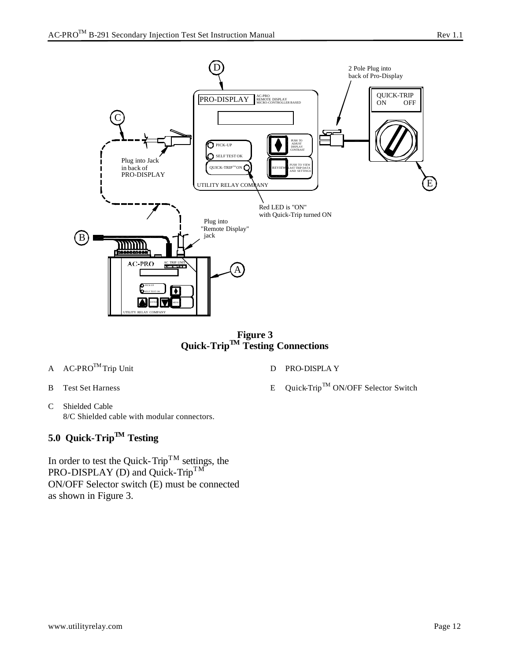

**Figure 3 Quick-TripTM Testing Connections**

- A AC-PRO™ Trip Unit
- B Test Set Harness
- C Shielded Cable 8/C Shielded cable with modular connectors.

# **5.0 Quick-TripTM Testing**

In order to test the Quick-Trip<sup>TM</sup> settings, the PRO-DISPLAY (D) and Quick-Trip<sup>TM</sup> ON/OFF Selector switch (E) must be connected as shown in Figure 3.

- D PRO-DISPLA Y
- E Quick-Trip<sup>TM</sup> ON/OFF Selector Switch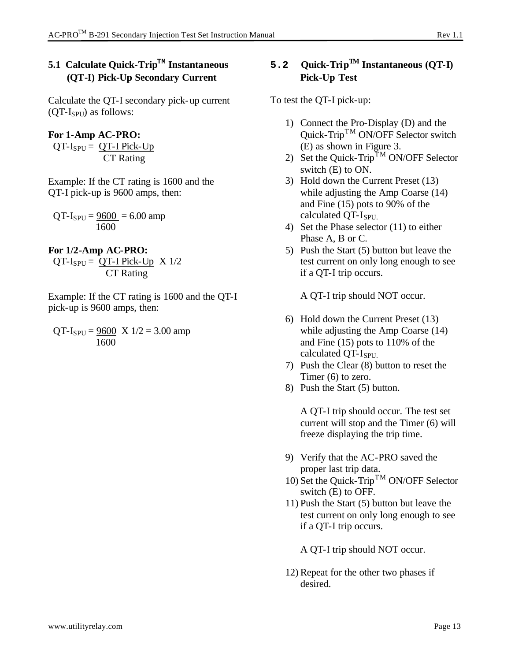## **5.1 Calculate Quick-TripTM Instantaneous (QT-I) Pick-Up Secondary Current**

Calculate the QT-I secondary pick-up current  $(QT-I_{SPU})$  as follows:

**For 1-Amp AC-PRO:**  $QT-I_{SPU} = QT-I$  Pick-Up CT Rating

Example: If the CT rating is 1600 and the QT-I pick-up is 9600 amps, then:

 $QT-I_{SPU} = 9600 = 6.00$  amp 1600

**For 1/2-Amp AC-PRO:**  $QT-I_{SPU} = QT-I$  Pick-Up  $X 1/2$ CT Rating

Example: If the CT rating is 1600 and the QT-I pick-up is 9600 amps, then:

 $QT-I_{SPU} = 9600 \text{ X } 1/2 = 3.00 \text{ amp}$ 1600

## 5.2 **Quick-Trip<sup>TM</sup>** Instantaneous (QT-I) **Pick-Up Test**

To test the QT-I pick-up:

- 1) Connect the Pro-Display (D) and the Quick-Trip<sup>TM</sup> ON/OFF Selector switch (E) as shown in Figure 3.
- 2) Set the Quick-Trip<sup>TM</sup> ON/OFF Selector switch (E) to ON.
- 3) Hold down the Current Preset (13) while adjusting the Amp Coarse (14) and Fine (15) pots to 90% of the calculated QT-ISPU.
- 4) Set the Phase selector (11) to either Phase A, B or C.
- 5) Push the Start (5) button but leave the test current on only long enough to see if a QT-I trip occurs.

A QT-I trip should NOT occur.

- 6) Hold down the Current Preset (13) while adjusting the Amp Coarse (14) and Fine (15) pots to 110% of the calculated QT-I<sub>SPU.</sub>
- 7) Push the Clear (8) button to reset the Timer (6) to zero.
- 8) Push the Start (5) button.

A QT-I trip should occur. The test set current will stop and the Timer (6) will freeze displaying the trip time.

- 9) Verify that the AC-PRO saved the proper last trip data.
- 10) Set the Quick-Trip<sup>TM</sup> ON/OFF Selector switch (E) to OFF.
- 11) Push the Start (5) button but leave the test current on only long enough to see if a QT-I trip occurs.

A QT-I trip should NOT occur.

12) Repeat for the other two phases if desired.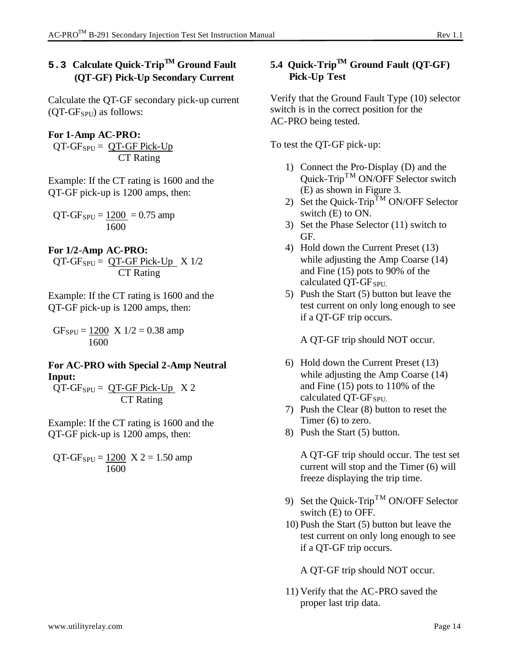# **5.3 Calculate Quick-TripTM Ground Fault (QT-GF) Pick-Up Secondary Current**

Calculate the QT-GF secondary pick-up current  $(OT-GF<sub>SPU</sub>)$  as follows:

**For 1-Amp AC-PRO:**  $QT-GF_{SPU} = QT-GF$  Pick-Up CT Rating

Example: If the CT rating is 1600 and the QT-GF pick-up is 1200 amps, then:

 $QT-GF_{SPU} = 1200 = 0.75$  amp 1600

**For 1/2-Amp AC-PRO:**

 $QT-GF_{SPU} = QT-GF$  Pick-Up  $X 1/2$ CT Rating

Example: If the CT rating is 1600 and the QT-GF pick-up is 1200 amps, then:

 $GF_{SPU} = 1200 \text{ X } 1/2 = 0.38 \text{ amp}$ 1600

## **For AC-PRO with Special 2-Amp Neutral Input:**

 $QT-GF_{SPU} = QT-GF Pick-Up$   $X 2$ CT Rating

Example: If the CT rating is 1600 and the QT-GF pick-up is 1200 amps, then:

 $QT-GF_{SPU} = 1200 \text{ X } 2 = 1.50 \text{ amp}$ 1600

## **5.4 Quick-TripTM Ground Fault (QT-GF) Pick-Up Test**

Verify that the Ground Fault Type (10) selector switch is in the correct position for the AC-PRO being tested.

To test the QT-GF pick-up:

- 1) Connect the Pro-Display (D) and the Quick-Trip<sup>TM</sup> ON/OFF Selector switch (E) as shown in Figure 3.
- 2) Set the Quick-Trip<sup>TM</sup> ON/OFF Selector switch (E) to ON.
- 3) Set the Phase Selector (11) switch to GF.
- 4) Hold down the Current Preset (13) while adjusting the Amp Coarse (14) and Fine (15) pots to 90% of the calculated  $QT-GF_{SPU.}$
- 5) Push the Start (5) button but leave the test current on only long enough to see if a QT-GF trip occurs.

A QT-GF trip should NOT occur.

- 6) Hold down the Current Preset (13) while adjusting the Amp Coarse (14) and Fine (15) pots to 110% of the calculated  $QT-GF_{SPU.}$
- 7) Push the Clear (8) button to reset the Timer (6) to zero.
- 8) Push the Start (5) button.

A QT-GF trip should occur. The test set current will stop and the Timer (6) will freeze displaying the trip time.

- 9) Set the Quick-Trip<sup>TM</sup> ON/OFF Selector switch (E) to OFF.
- 10) Push the Start (5) button but leave the test current on only long enough to see if a QT-GF trip occurs.

A QT-GF trip should NOT occur.

11) Verify that the AC-PRO saved the proper last trip data.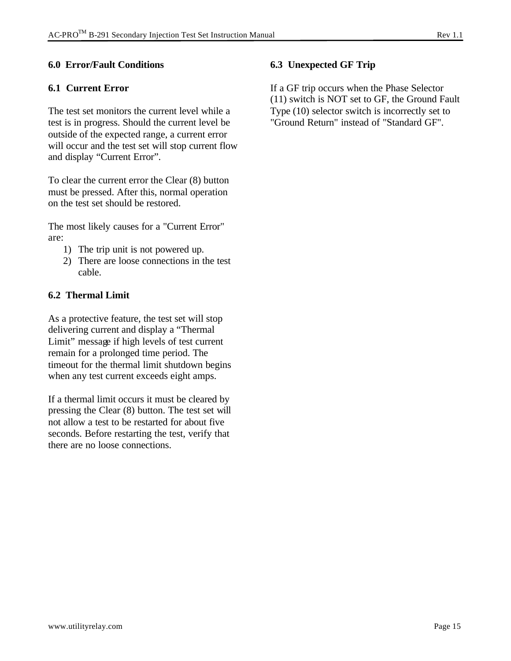## **6.0 Error/Fault Conditions**

#### **6.1 Current Error**

The test set monitors the current level while a test is in progress. Should the current level be outside of the expected range, a current error will occur and the test set will stop current flow and display "Current Error".

To clear the current error the Clear (8) button must be pressed. After this, normal operation on the test set should be restored.

The most likely causes for a "Current Error" are:

- 1) The trip unit is not powered up.
- 2) There are loose connections in the test cable.

#### **6.2 Thermal Limit**

As a protective feature, the test set will stop delivering current and display a "Thermal Limit" message if high levels of test current remain for a prolonged time period. The timeout for the thermal limit shutdown begins when any test current exceeds eight amps.

If a thermal limit occurs it must be cleared by pressing the Clear (8) button. The test set will not allow a test to be restarted for about five seconds. Before restarting the test, verify that there are no loose connections.

## **6.3 Unexpected GF Trip**

If a GF trip occurs when the Phase Selector (11) switch is NOT set to GF, the Ground Fault Type (10) selector switch is incorrectly set to "Ground Return" instead of "Standard GF".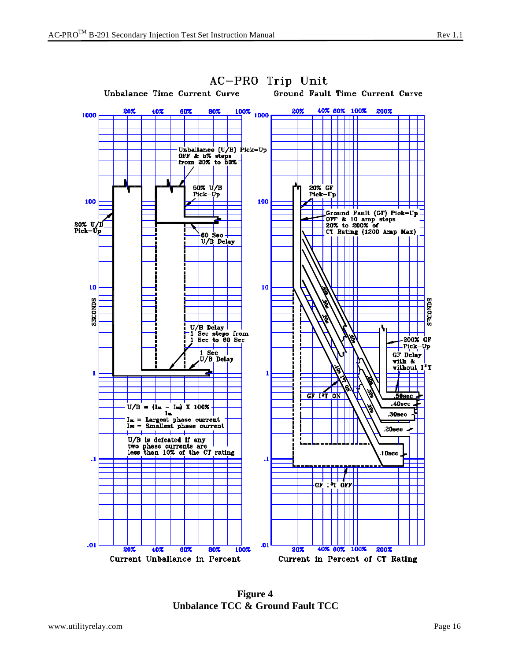

**Figure 4 Unbalance TCC & Ground Fault TCC**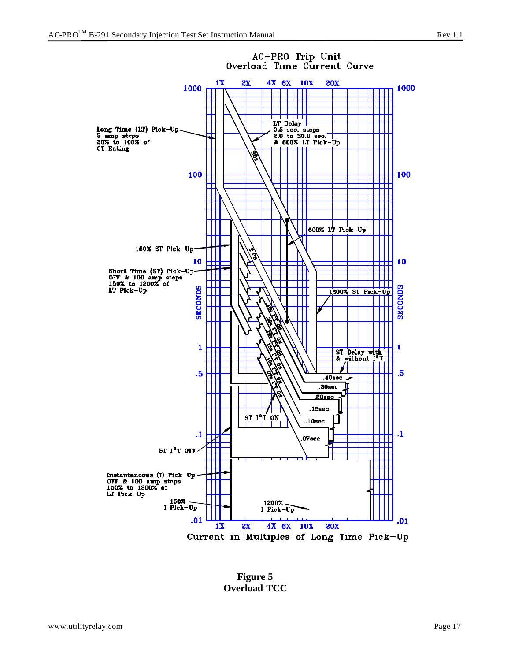

**Figure 5 Overload TCC**